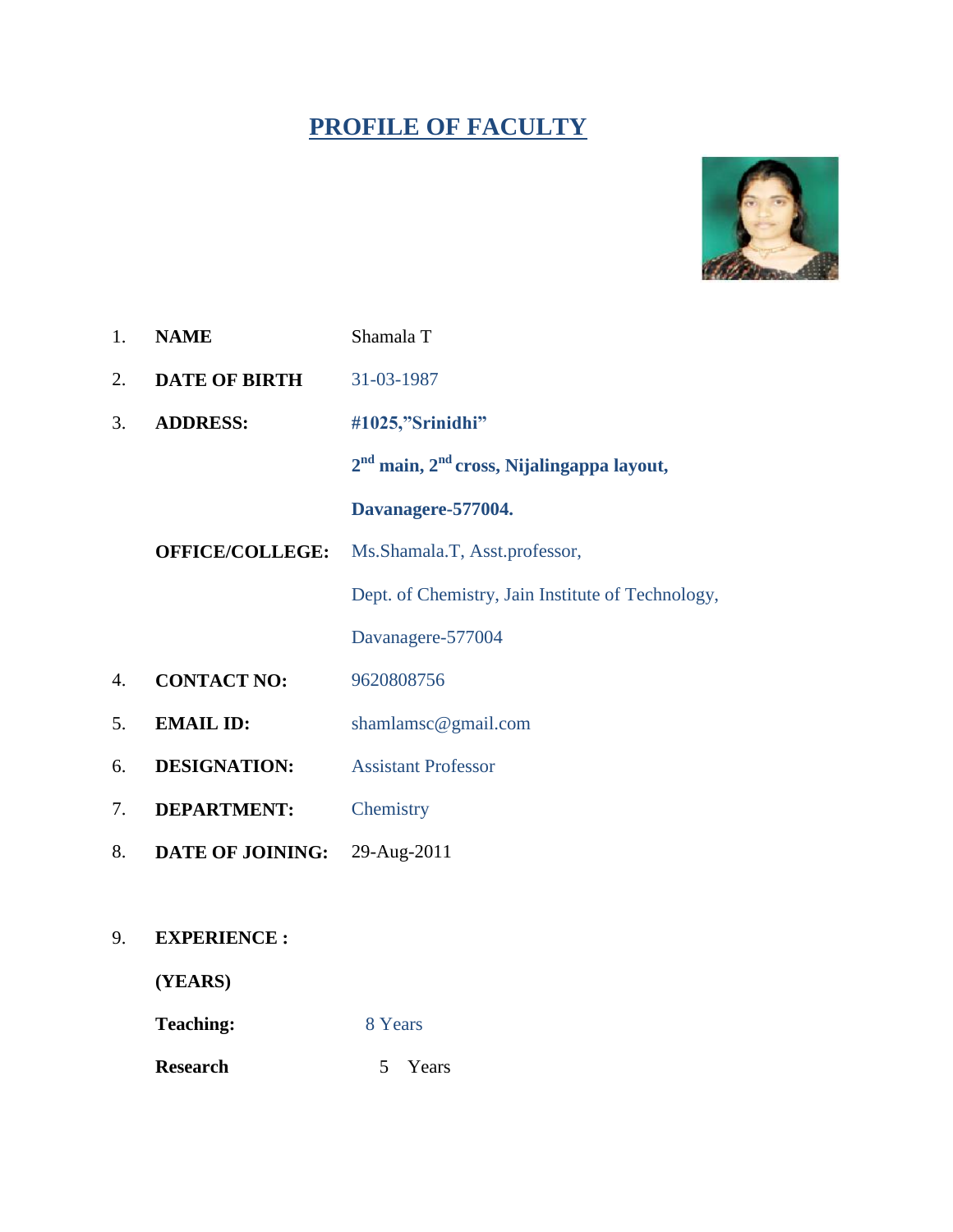# **PROFILE OF FACULTY**



| 1. | <b>NAME</b>          | Shamala T                                            |  |
|----|----------------------|------------------------------------------------------|--|
| 2. | <b>DATE OF BIRTH</b> | 31-03-1987                                           |  |
| 3. | <b>ADDRESS:</b>      | #1025,"Srinidhi"                                     |  |
|    |                      | $2nd$ main, $2nd$ cross, Nijalingappa layout,        |  |
|    |                      | Davanagere-577004.                                   |  |
|    |                      | <b>OFFICE/COLLEGE:</b> Ms.Shamala.T, Asst.professor, |  |
|    |                      | Dept. of Chemistry, Jain Institute of Technology,    |  |
|    |                      | Davanagere-577004                                    |  |
| 4. | <b>CONTACT NO:</b>   | 9620808756                                           |  |
| 5. | <b>EMAIL ID:</b>     | shamlamsc@gmail.com                                  |  |
| 6. | <b>DESIGNATION:</b>  | <b>Assistant Professor</b>                           |  |
| 7. | <b>DEPARTMENT:</b>   | Chemistry                                            |  |
|    |                      |                                                      |  |

- 8. **DATE OF JOINING:** 29-Aug-2011
- 9. **EXPERIENCE :**

**(YEARS)**

**Teaching:** 8 Years

**Research** 5 Years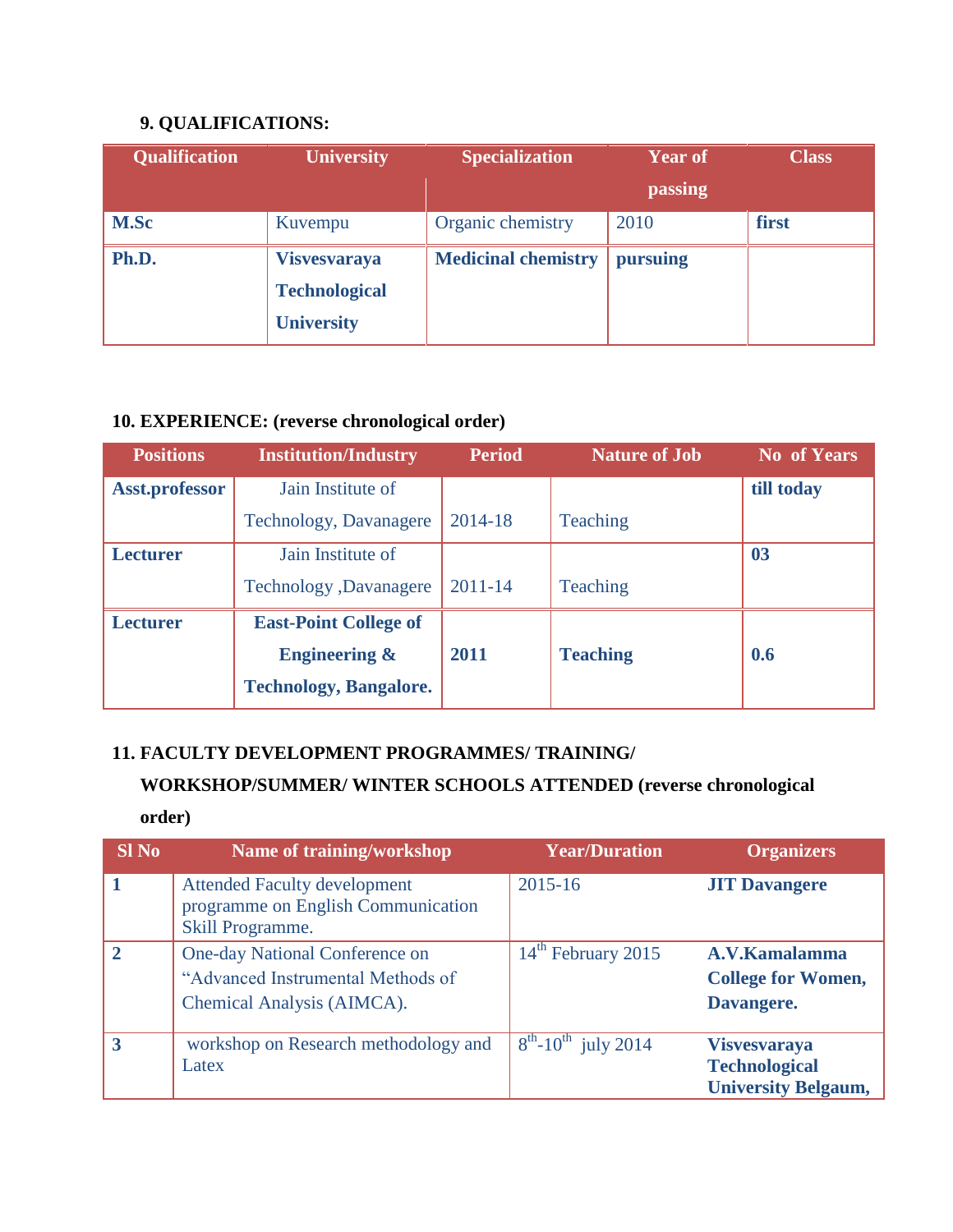## **9. QUALIFICATIONS:**

| <b>Qualification</b>         | <b>University</b>    | <b>Specialization</b>      | <b>Year of</b> | <b>Class</b> |
|------------------------------|----------------------|----------------------------|----------------|--------------|
|                              |                      |                            | passing        |              |
| <b>M.Sc</b>                  | Kuvempu              | Organic chemistry          | 2010           | first        |
| Ph.D.<br><b>Visvesvaraya</b> |                      | <b>Medicinal chemistry</b> | pursuing       |              |
|                              | <b>Technological</b> |                            |                |              |
|                              | <b>University</b>    |                            |                |              |

#### **10. EXPERIENCE: (reverse chronological order)**

| <b>Positions</b>      | <b>Institution/Industry</b>   | <b>Period</b> | <b>Nature of Job</b> | <b>No</b> of Years |
|-----------------------|-------------------------------|---------------|----------------------|--------------------|
| <b>Asst.professor</b> | Jain Institute of             |               |                      | till today         |
|                       | Technology, Davanagere        | 2014-18       | Teaching             |                    |
| <b>Lecturer</b>       | Jain Institute of             |               |                      | 0 <sub>3</sub>     |
|                       | Technology , Davanagere       | $2011 - 14$   | Teaching             |                    |
| <b>Lecturer</b>       | <b>East-Point College of</b>  |               |                      |                    |
|                       | <b>Engineering &amp;</b>      | 2011          | <b>Teaching</b>      | 0.6                |
|                       | <b>Technology, Bangalore.</b> |               |                      |                    |

#### **11. FACULTY DEVELOPMENT PROGRAMMES/ TRAINING/**

## **WORKSHOP/SUMMER/ WINTER SCHOOLS ATTENDED (reverse chronological**

**order)**

| $SI$ No | Name of training/workshop                                                                         | <b>Year/Duration</b>                        | <b>Organizers</b>                                                         |
|---------|---------------------------------------------------------------------------------------------------|---------------------------------------------|---------------------------------------------------------------------------|
|         | <b>Attended Faculty development</b><br>programme on English Communication<br>Skill Programme.     | $2015 - 16$                                 | <b>JIT Davangere</b>                                                      |
|         | One-day National Conference on<br>"Advanced Instrumental Methods of<br>Chemical Analysis (AIMCA). | 14 <sup>th</sup> February 2015              | A.V.Kamalamma<br><b>College for Women,</b><br>Davangere.                  |
|         | workshop on Research methodology and<br>Latex                                                     | $8^{\text{th}}$ -10 <sup>th</sup> july 2014 | <b>Visvesvaraya</b><br><b>Technological</b><br><b>University Belgaum,</b> |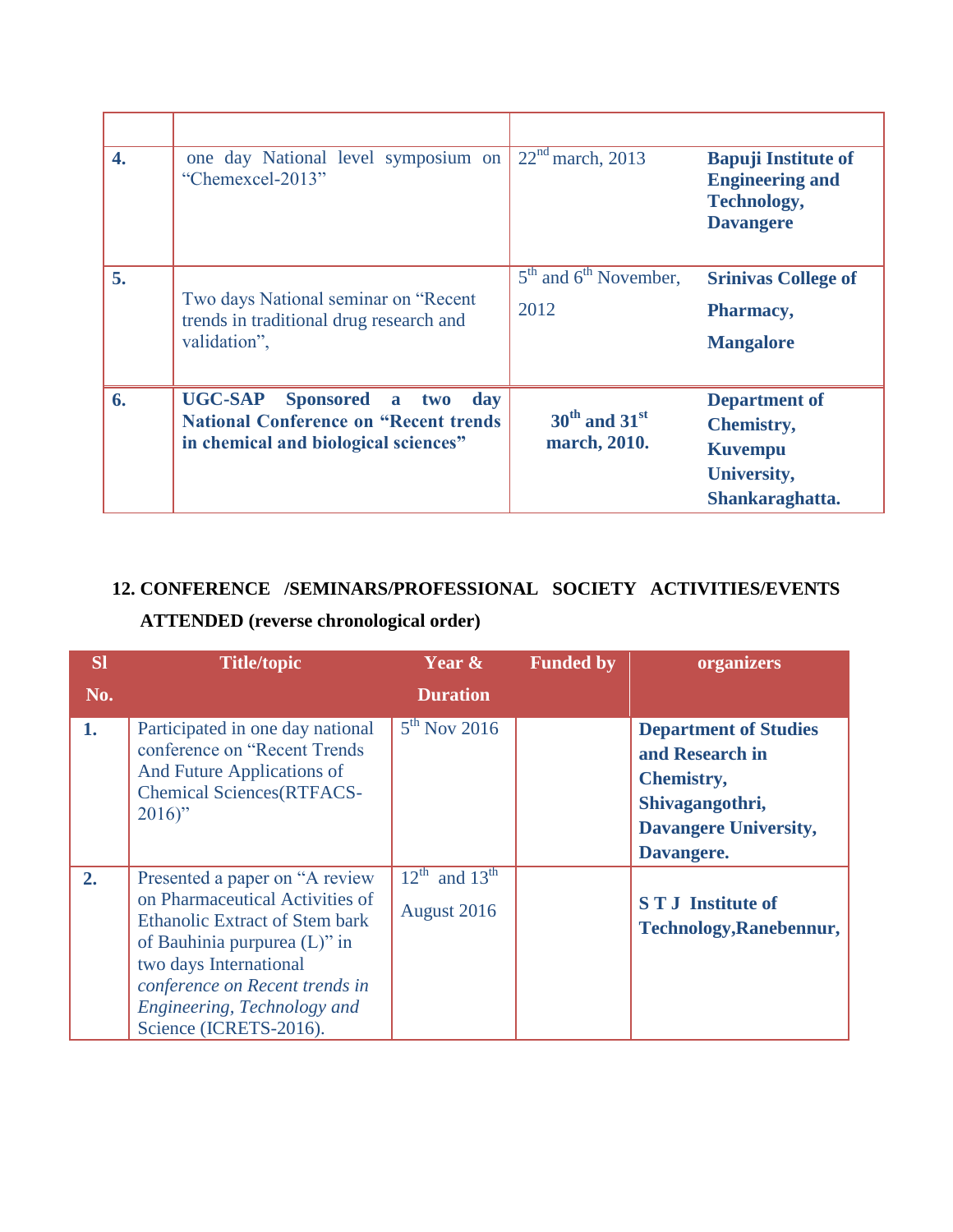| $\overline{4}$ . | one day National level symposium on<br>"Chemexcel-2013"                                                                          | $22nd$ march, 2013                | <b>Bapuji Institute of</b><br><b>Engineering and</b><br><b>Technology,</b><br><b>Davangere</b> |
|------------------|----------------------------------------------------------------------------------------------------------------------------------|-----------------------------------|------------------------------------------------------------------------------------------------|
| 5.               | Two days National seminar on "Recent"<br>trends in traditional drug research and<br>validation",                                 | $5th$ and $6th$ November,<br>2012 | <b>Srinivas College of</b><br>Pharmacy,<br><b>Mangalore</b>                                    |
| 6.               | <b>UGC-SAP</b> Sponsored<br>day<br>a two<br><b>National Conference on "Recent trends</b><br>in chemical and biological sciences" | $30th$ and $31st$<br>march, 2010. | <b>Department of</b><br><b>Chemistry,</b><br><b>Kuvempu</b><br>University,<br>Shankaraghatta.  |

## **12. CONFERENCE /SEMINARS/PROFESSIONAL SOCIETY ACTIVITIES/EVENTS**

## **ATTENDED (reverse chronological order)**

| <b>SI</b> | <b>Title/topic</b>                                                                                                                                                                                                                                                  | Year &                                               | <b>Funded by</b> | organizers                                                                                                                            |
|-----------|---------------------------------------------------------------------------------------------------------------------------------------------------------------------------------------------------------------------------------------------------------------------|------------------------------------------------------|------------------|---------------------------------------------------------------------------------------------------------------------------------------|
| No.       |                                                                                                                                                                                                                                                                     | <b>Duration</b>                                      |                  |                                                                                                                                       |
| 1.        | Participated in one day national<br>conference on "Recent Trends"<br>And Future Applications of<br><b>Chemical Sciences(RTFACS-</b><br>$2016$ "                                                                                                                     | $5th$ Nov 2016                                       |                  | <b>Department of Studies</b><br>and Research in<br><b>Chemistry,</b><br>Shivagangothri,<br><b>Davangere University,</b><br>Davangere. |
| 2.        | Presented a paper on "A review"<br>on Pharmaceutical Activities of<br><b>Ethanolic Extract of Stem bark</b><br>of Bauhinia purpurea $(L)$ " in<br>two days International<br>conference on Recent trends in<br>Engineering, Technology and<br>Science (ICRETS-2016). | $12^{\text{th}}$ and $13^{\text{th}}$<br>August 2016 |                  | <b>STJ</b> Institute of<br><b>Technology, Ranebennur,</b>                                                                             |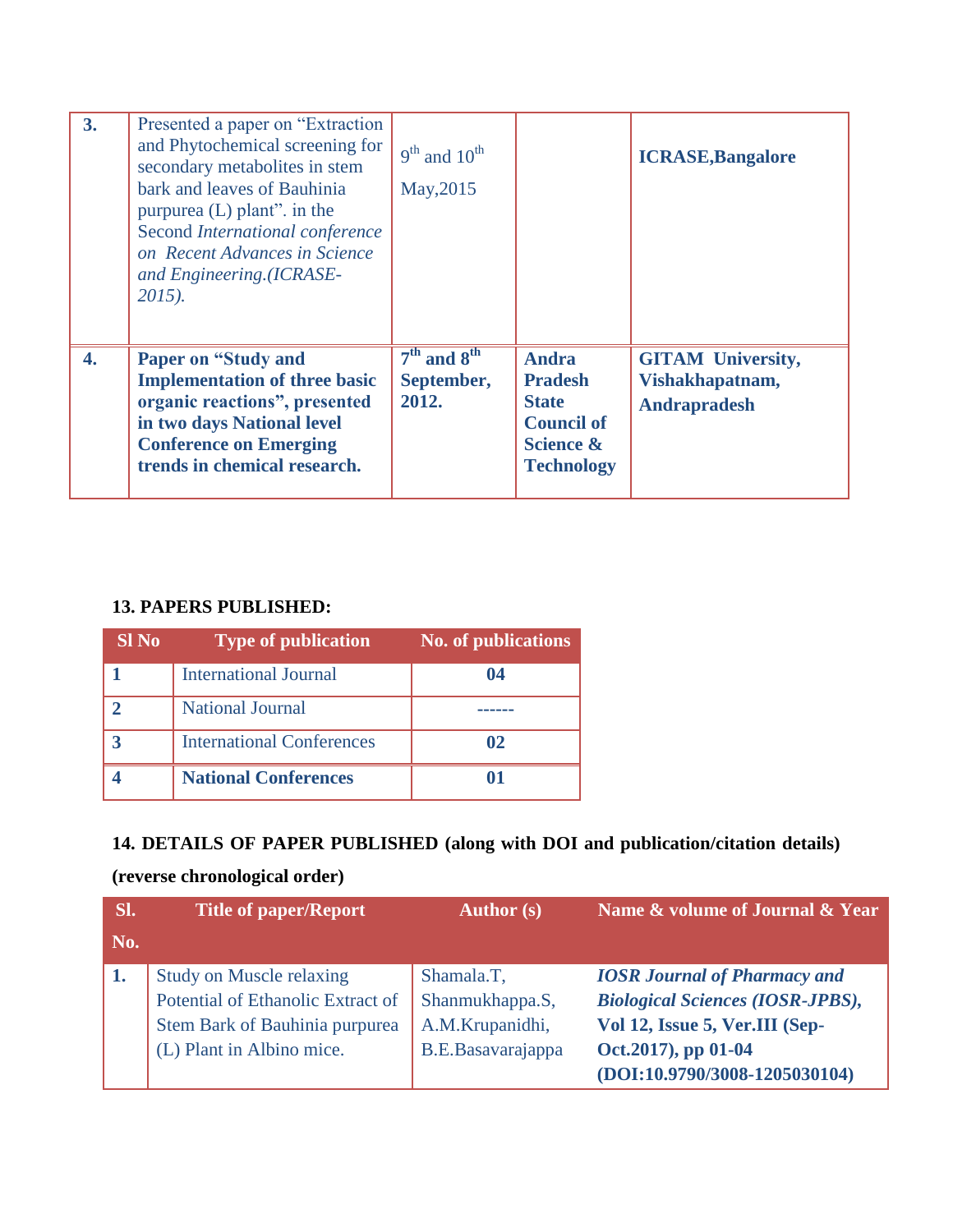| 3.               | Presented a paper on "Extraction"<br>and Phytochemical screening for<br>secondary metabolites in stem<br>bark and leaves of Bauhinia<br>purpurea $(L)$ plant". in the<br>Second International conference<br>on Recent Advances in Science<br>and Engineering.(ICRASE-<br>$2015$ ). | $9th$ and $10th$<br>May, 2015          |                                                                                                                  | <b>ICRASE, Bangalore</b>                                           |
|------------------|------------------------------------------------------------------------------------------------------------------------------------------------------------------------------------------------------------------------------------------------------------------------------------|----------------------------------------|------------------------------------------------------------------------------------------------------------------|--------------------------------------------------------------------|
| $\overline{4}$ . | <b>Paper on "Study and</b><br><b>Implementation of three basic</b><br>organic reactions", presented<br>in two days National level<br><b>Conference on Emerging</b><br>trends in chemical research.                                                                                 | $7th$ and $8th$<br>September,<br>2012. | <b>Andra</b><br><b>Pradesh</b><br><b>State</b><br><b>Council of</b><br><b>Science &amp;</b><br><b>Technology</b> | <b>GITAM University,</b><br>Vishakhapatnam,<br><b>Andrapradesh</b> |

#### **13. PAPERS PUBLISHED:**

| <b>SI</b> No | <b>Type of publication</b>       | <b>No. of publications</b> |
|--------------|----------------------------------|----------------------------|
|              | <b>International Journal</b>     | 04                         |
|              | National Journal                 |                            |
|              | <b>International Conferences</b> | 02                         |
|              | <b>National Conferences</b>      |                            |

## **14. DETAILS OF PAPER PUBLISHED (along with DOI and publication/citation details)**

## **(reverse chronological order)**

| Sl. | <b>Title of paper/Report</b>      | <b>Author</b> (s) | Name & volume of Journal & Year         |
|-----|-----------------------------------|-------------------|-----------------------------------------|
| No. |                                   |                   |                                         |
| 1.  | <b>Study on Muscle relaxing</b>   | Shamala.T,        | <b>IOSR Journal of Pharmacy and</b>     |
|     | Potential of Ethanolic Extract of | Shanmukhappa.S,   | <b>Biological Sciences (IOSR-JPBS),</b> |
|     | Stem Bark of Bauhinia purpurea    | A.M.Krupanidhi,   | Vol 12, Issue 5, Ver.III (Sep-          |
|     | (L) Plant in Albino mice.         | B.E.Basavarajappa | Oct.2017), pp 01-04                     |
|     |                                   |                   | (DOI:10.9790/3008-1205030104)           |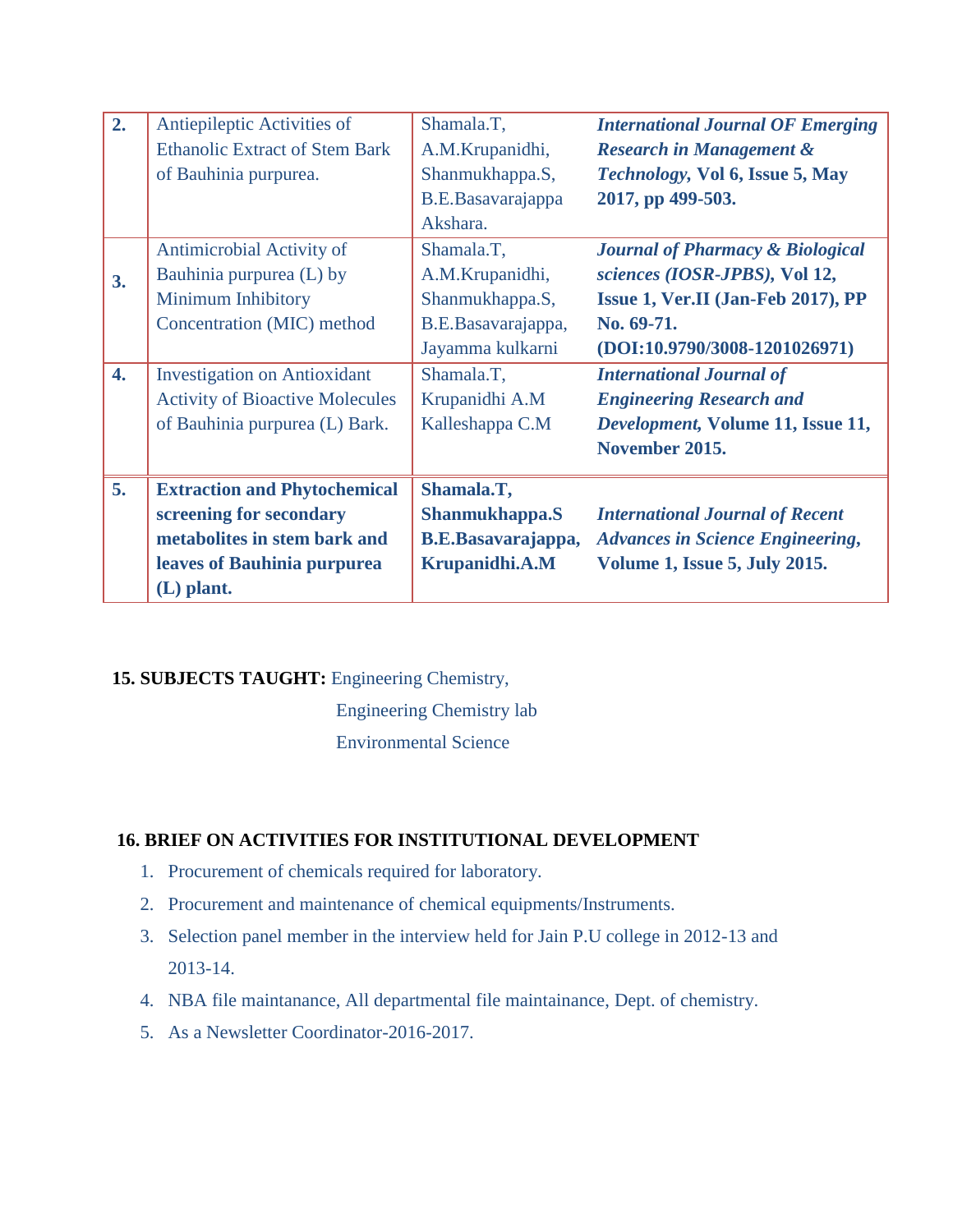| 2.               | Antiepileptic Activities of            | Shamala.T,                | <b>International Journal OF Emerging</b>    |
|------------------|----------------------------------------|---------------------------|---------------------------------------------|
|                  | <b>Ethanolic Extract of Stem Bark</b>  |                           |                                             |
|                  |                                        | A.M.Krupanidhi,           | <b>Research in Management &amp;</b>         |
|                  | of Bauhinia purpurea.                  | Shanmukhappa.S,           | Technology, Vol 6, Issue 5, May             |
|                  |                                        | B.E.Basavarajappa         | 2017, pp 499-503.                           |
|                  |                                        | Akshara.                  |                                             |
|                  | Antimicrobial Activity of              | Shamala.T,                | <b>Journal of Pharmacy &amp; Biological</b> |
| 3.               | Bauhinia purpurea (L) by               | A.M.Krupanidhi,           | sciences (IOSR-JPBS), Vol 12,               |
|                  | Minimum Inhibitory                     | Shanmukhappa.S,           | Issue 1, Ver.II (Jan-Feb 2017), PP          |
|                  | Concentration (MIC) method             | B.E.Basavarajappa,        | No. 69-71.                                  |
|                  |                                        | Jayamma kulkarni          | $(DOI:10.9790/3008-1201026971)$             |
| $\overline{4}$ . | <b>Investigation on Antioxidant</b>    | Shamala.T,                | <b>International Journal of</b>             |
|                  | <b>Activity of Bioactive Molecules</b> | Krupanidhi A.M            | <b>Engineering Research and</b>             |
|                  | of Bauhinia purpurea (L) Bark.         | Kalleshappa C.M           | Development, Volume 11, Issue 11,           |
|                  |                                        |                           | November 2015.                              |
| 5.               | <b>Extraction and Phytochemical</b>    | Shamala.T,                |                                             |
|                  | screening for secondary                | Shanmukhappa.S            | <b>International Journal of Recent</b>      |
|                  | metabolites in stem bark and           | <b>B.E.Basavarajappa,</b> | <b>Advances in Science Engineering,</b>     |
|                  | leaves of Bauhinia purpurea            | Krupanidhi.A.M            | <b>Volume 1, Issue 5, July 2015.</b>        |
|                  |                                        |                           |                                             |
|                  | $(L)$ plant.                           |                           |                                             |

#### **15. SUBJECTS TAUGHT:** Engineering Chemistry,

**Engineering Chemistry lab** 

Environmental Science

#### **16. BRIEF ON ACTIVITIES FOR INSTITUTIONAL DEVELOPMENT**

- 1. Procurement of chemicals required for laboratory.
- 2. Procurement and maintenance of chemical equipments/Instruments.
- 3. Selection panel member in the interview held for Jain P.U college in 2012-13 and 2013-14.
- 4. NBA file maintanance, All departmental file maintainance, Dept. of chemistry.
- 5. As a Newsletter Coordinator-2016-2017.